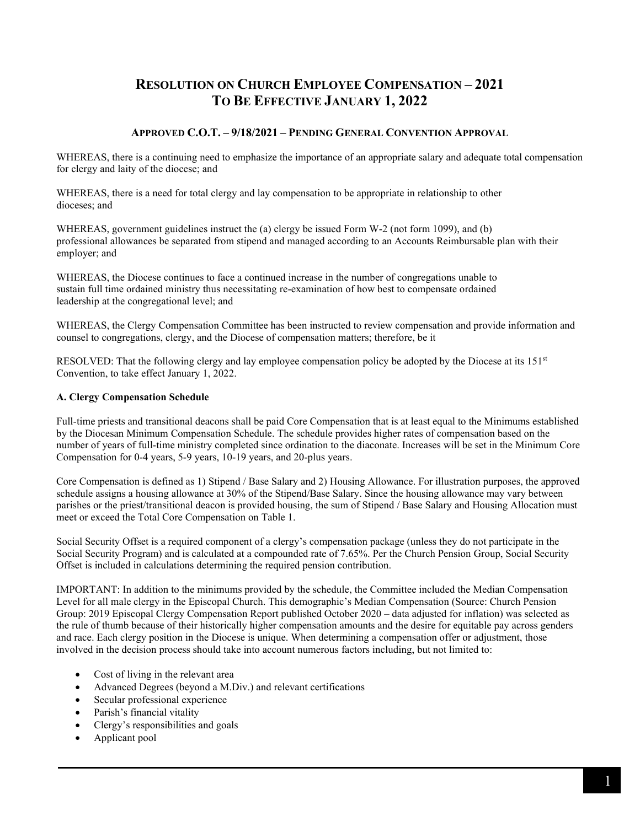# **RESOLUTION ON CHURCH EMPLOYEE COMPENSATION – 2021 TO BE EFFECTIVE JANUARY 1, 2022**

## **APPROVED C.O.T. – 9/18/2021 – PENDING GENERAL CONVENTION APPROVAL**

WHEREAS, there is a continuing need to emphasize the importance of an appropriate salary and adequate total compensation for clergy and laity of the diocese; and

WHEREAS, there is a need for total clergy and lay compensation to be appropriate in relationship to other dioceses; and

WHEREAS, government guidelines instruct the (a) clergy be issued Form W-2 (not form 1099), and (b) professional allowances be separated from stipend and managed according to an Accounts Reimbursable plan with their employer; and

WHEREAS, the Diocese continues to face a continued increase in the number of congregations unable to sustain full time ordained ministry thus necessitating re-examination of how best to compensate ordained leadership at the congregational level; and

WHEREAS, the Clergy Compensation Committee has been instructed to review compensation and provide information and counsel to congregations, clergy, and the Diocese of compensation matters; therefore, be it

RESOLVED: That the following clergy and lay employee compensation policy be adopted by the Diocese at its 151<sup>st</sup> Convention, to take effect January 1, 2022.

#### **A. Clergy Compensation Schedule**

Full-time priests and transitional deacons shall be paid Core Compensation that is at least equal to the Minimums established by the Diocesan Minimum Compensation Schedule. The schedule provides higher rates of compensation based on the number of years of full-time ministry completed since ordination to the diaconate. Increases will be set in the Minimum Core Compensation for 0-4 years, 5-9 years, 10-19 years, and 20-plus years.

Core Compensation is defined as 1) Stipend / Base Salary and 2) Housing Allowance. For illustration purposes, the approved schedule assigns a housing allowance at 30% of the Stipend/Base Salary. Since the housing allowance may vary between parishes or the priest/transitional deacon is provided housing, the sum of Stipend / Base Salary and Housing Allocation must meet or exceed the Total Core Compensation on Table 1.

Social Security Offset is a required component of a clergy's compensation package (unless they do not participate in the Social Security Program) and is calculated at a compounded rate of 7.65%. Per the Church Pension Group, Social Security Offset is included in calculations determining the required pension contribution.

IMPORTANT: In addition to the minimums provided by the schedule, the Committee included the Median Compensation Level for all male clergy in the Episcopal Church. This demographic's Median Compensation (Source: Church Pension Group: 2019 Episcopal Clergy Compensation Report published October 2020 – data adjusted for inflation) was selected as the rule of thumb because of their historically higher compensation amounts and the desire for equitable pay across genders and race. Each clergy position in the Diocese is unique. When determining a compensation offer or adjustment, those involved in the decision process should take into account numerous factors including, but not limited to:

- Cost of living in the relevant area
- Advanced Degrees (beyond a M.Div.) and relevant certifications
- Secular professional experience
- Parish's financial vitality
- Clergy's responsibilities and goals
- Applicant pool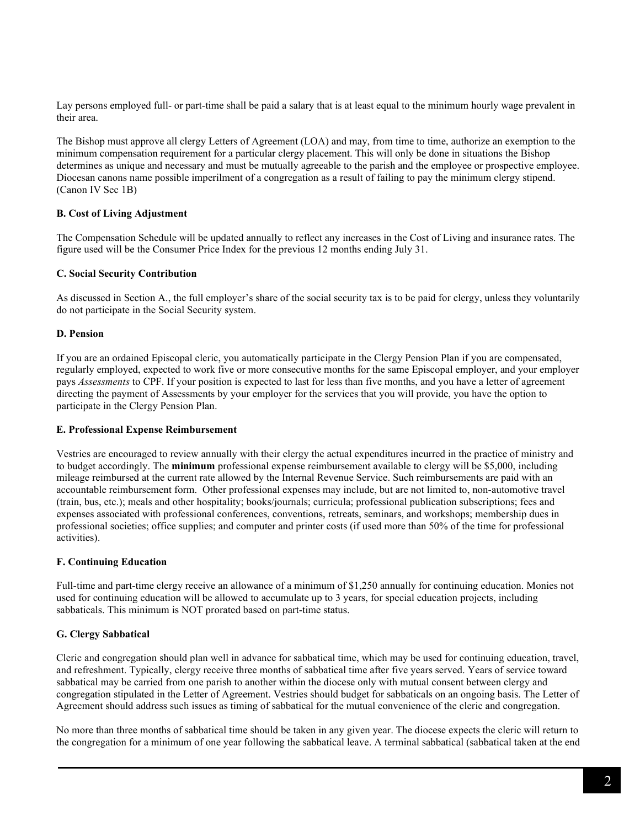Lay persons employed full- or part-time shall be paid a salary that is at least equal to the minimum hourly wage prevalent in their area.

The Bishop must approve all clergy Letters of Agreement (LOA) and may, from time to time, authorize an exemption to the minimum compensation requirement for a particular clergy placement. This will only be done in situations the Bishop determines as unique and necessary and must be mutually agreeable to the parish and the employee or prospective employee. Diocesan canons name possible imperilment of a congregation as a result of failing to pay the minimum clergy stipend. (Canon IV Sec 1B)

#### **B. Cost of Living Adjustment**

The Compensation Schedule will be updated annually to reflect any increases in the Cost of Living and insurance rates. The figure used will be the Consumer Price Index for the previous 12 months ending July 31.

#### **C. Social Security Contribution**

As discussed in Section A., the full employer's share of the social security tax is to be paid for clergy, unless they voluntarily do not participate in the Social Security system.

## **D. Pension**

If you are an ordained Episcopal cleric, you automatically participate in the Clergy Pension Plan if you are compensated, regularly employed, expected to work five or more consecutive months for the same Episcopal employer, and your employer pays *Assessments* to CPF. If your position is expected to last for less than five months, and you have a letter of agreement directing the payment of Assessments by your employer for the services that you will provide, you have the option to participate in the Clergy Pension Plan.

#### **E. Professional Expense Reimbursement**

Vestries are encouraged to review annually with their clergy the actual expenditures incurred in the practice of ministry and to budget accordingly. The **minimum** professional expense reimbursement available to clergy will be \$5,000, including mileage reimbursed at the current rate allowed by the Internal Revenue Service. Such reimbursements are paid with an accountable reimbursement form. Other professional expenses may include, but are not limited to, non-automotive travel (train, bus, etc.); meals and other hospitality; books/journals; curricula; professional publication subscriptions; fees and expenses associated with professional conferences, conventions, retreats, seminars, and workshops; membership dues in professional societies; office supplies; and computer and printer costs (if used more than 50% of the time for professional activities).

#### **F. Continuing Education**

Full-time and part-time clergy receive an allowance of a minimum of \$1,250 annually for continuing education. Monies not used for continuing education will be allowed to accumulate up to 3 years, for special education projects, including sabbaticals. This minimum is NOT prorated based on part-time status.

## **G. Clergy Sabbatical**

Cleric and congregation should plan well in advance for sabbatical time, which may be used for continuing education, travel, and refreshment. Typically, clergy receive three months of sabbatical time after five years served. Years of service toward sabbatical may be carried from one parish to another within the diocese only with mutual consent between clergy and congregation stipulated in the Letter of Agreement. Vestries should budget for sabbaticals on an ongoing basis. The Letter of Agreement should address such issues as timing of sabbatical for the mutual convenience of the cleric and congregation.

No more than three months of sabbatical time should be taken in any given year. The diocese expects the cleric will return to the congregation for a minimum of one year following the sabbatical leave. A terminal sabbatical (sabbatical taken at the end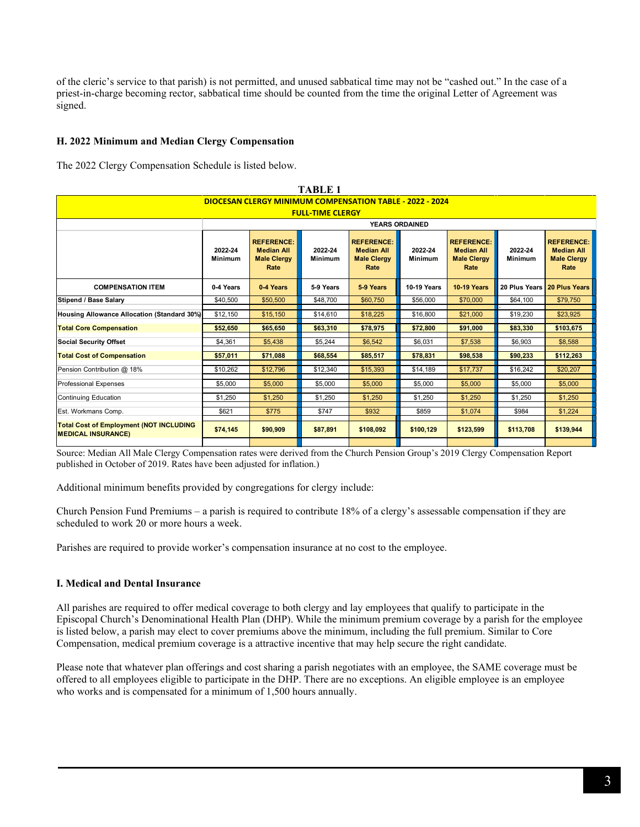of the cleric's service to that parish) is not permitted, and unused sabbatical time may not be "cashed out." In the case of a priest-in-charge becoming rector, sabbatical time should be counted from the time the original Letter of Agreement was signed.

## **H. 2022 Minimum and Median Clergy Compensation**

The 2022 Clergy Compensation Schedule is listed below.

| <b>TABLE 1</b>                                                              |                           |                                                                      |                           |                                                                      |                           |                                                                      |                           |                                                                      |  |  |  |  |
|-----------------------------------------------------------------------------|---------------------------|----------------------------------------------------------------------|---------------------------|----------------------------------------------------------------------|---------------------------|----------------------------------------------------------------------|---------------------------|----------------------------------------------------------------------|--|--|--|--|
| <b>DIOCESAN CLERGY MINIMUM COMPENSATION TABLE - 2022 - 2024</b>             |                           |                                                                      |                           |                                                                      |                           |                                                                      |                           |                                                                      |  |  |  |  |
| <b>FULL-TIME CLERGY</b>                                                     |                           |                                                                      |                           |                                                                      |                           |                                                                      |                           |                                                                      |  |  |  |  |
|                                                                             | <b>YEARS ORDAINED</b>     |                                                                      |                           |                                                                      |                           |                                                                      |                           |                                                                      |  |  |  |  |
|                                                                             | 2022-24<br><b>Minimum</b> | <b>REFERENCE:</b><br><b>Median All</b><br><b>Male Clergy</b><br>Rate | 2022-24<br><b>Minimum</b> | <b>REFERENCE:</b><br><b>Median All</b><br><b>Male Clergy</b><br>Rate | 2022-24<br><b>Minimum</b> | <b>REFERENCE:</b><br><b>Median All</b><br><b>Male Clergy</b><br>Rate | 2022-24<br><b>Minimum</b> | <b>REFERENCE:</b><br><b>Median All</b><br><b>Male Clergy</b><br>Rate |  |  |  |  |
| <b>COMPENSATION ITEM</b>                                                    | 0-4 Years                 | 0-4 Years                                                            | 5-9 Years                 | 5-9 Years                                                            | <b>10-19 Years</b>        | <b>10-19 Years</b>                                                   | 20 Plus Years             | <b>20 Plus Years</b>                                                 |  |  |  |  |
| Stipend / Base Salary                                                       | \$40,500                  | \$50,500                                                             | \$48,700                  | \$60,750                                                             | \$56,000                  | \$70,000                                                             | \$64,100                  | \$79,750                                                             |  |  |  |  |
| Housing Allowance Allocation (Standard 30%)                                 | \$12,150                  | \$15,150                                                             | \$14,610                  | \$18,225                                                             | \$16,800                  | \$21,000                                                             | \$19,230                  | \$23,925                                                             |  |  |  |  |
| <b>Total Core Compensation</b>                                              | \$52,650                  | \$65,650                                                             | \$63,310                  | \$78,975                                                             | \$72,800                  | \$91,000                                                             | \$83,330                  | \$103,675                                                            |  |  |  |  |
| <b>Social Security Offset</b>                                               | \$4.361                   | \$5,438                                                              | \$5,244                   | \$6.542                                                              | \$6,031                   | \$7,538                                                              | \$6,903                   | \$8,588                                                              |  |  |  |  |
| <b>Total Cost of Compensation</b>                                           | \$57,011                  | \$71,088                                                             | \$68,554                  | \$85,517                                                             | \$78,831                  | \$98,538                                                             | \$90,233                  | \$112,263                                                            |  |  |  |  |
| Pension Contribution @ 18%                                                  | \$10.262                  | \$12,796                                                             | \$12,340                  | \$15,393                                                             | \$14,189                  | \$17,737                                                             | \$16,242                  | \$20,207                                                             |  |  |  |  |
| <b>Professional Expenses</b>                                                | \$5,000                   | \$5,000                                                              | \$5,000                   | \$5,000                                                              | \$5,000                   | \$5,000                                                              | \$5,000                   | \$5,000                                                              |  |  |  |  |
| Continuing Education                                                        | \$1.250                   | \$1.250                                                              | \$1,250                   | \$1.250                                                              | \$1.250                   | \$1.250                                                              | \$1,250                   | \$1.250                                                              |  |  |  |  |
| Est. Workmans Comp.                                                         | \$621                     | \$775                                                                | \$747                     | \$932                                                                | \$859                     | \$1,074                                                              | \$984                     | \$1,224                                                              |  |  |  |  |
| <b>Total Cost of Employment (NOT INCLUDING</b><br><b>MEDICAL INSURANCE)</b> | \$74,145                  | \$90,909                                                             | \$87,891                  | \$108,092                                                            | \$100,129                 | \$123,599                                                            | \$113,708                 | \$139,944                                                            |  |  |  |  |

Source: Median All Male Clergy Compensation rates were derived from the Church Pension Group's 2019 Clergy Compensation Report published in October of 2019. Rates have been adjusted for inflation.)

Additional minimum benefits provided by congregations for clergy include:

Church Pension Fund Premiums – a parish is required to contribute 18% of a clergy's assessable compensation if they are scheduled to work 20 or more hours a week.

Parishes are required to provide worker's compensation insurance at no cost to the employee.

#### **I. Medical and Dental Insurance**

All parishes are required to offer medical coverage to both clergy and lay employees that qualify to participate in the Episcopal Church's Denominational Health Plan (DHP). While the minimum premium coverage by a parish for the employee is listed below, a parish may elect to cover premiums above the minimum, including the full premium. Similar to Core Compensation, medical premium coverage is a attractive incentive that may help secure the right candidate.

Please note that whatever plan offerings and cost sharing a parish negotiates with an employee, the SAME coverage must be offered to all employees eligible to participate in the DHP. There are no exceptions. An eligible employee is an employee who works and is compensated for a minimum of 1,500 hours annually.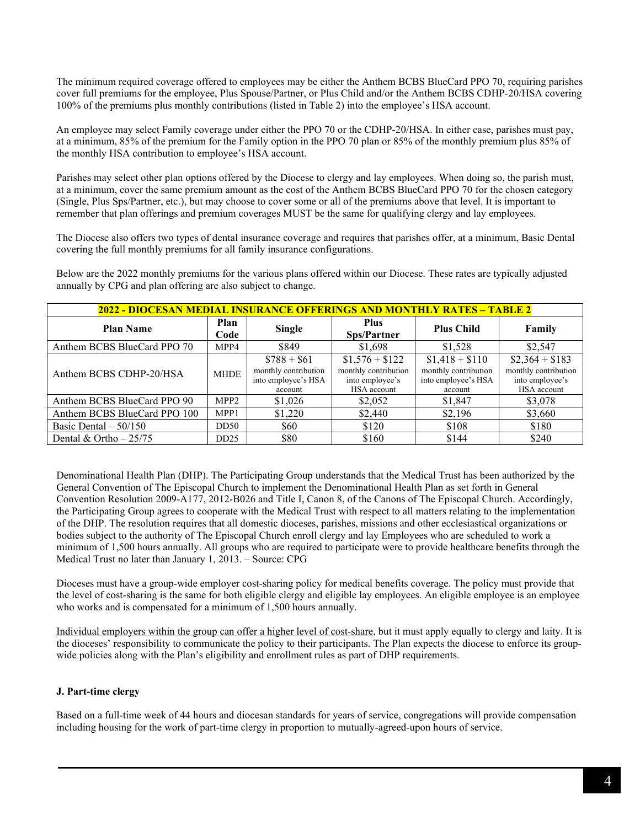The minimum required coverage offered to employees may be either the Anthem BCBS BlueCard PPO 70, requiring parishes cover full premiums for the employee, Plus Spouse/Partner, or Plus Child and/or the Anthem BCBS CDHP-20/HSA covering 100% of the premiums plus monthly contributions (listed in Table 2) into the employee's HSA account.

An employee may select Family coverage under either the PPO 70 or the CDHP-20/HSA. In either case, parishes must pay, at a minimum, 85% of the premium for the Family option in the PPO 70 plan or 85% of the monthly premium plus 85% of the monthly HSA contribution to employee's HSA account.

Parishes may select other plan options offered by the Diocese to clergy and lay employees. When doing so, the parish must, at a minimum, cover the same premium amount as the cost of the Anthem BCBS BlueCard PPO 70 for the chosen category (Single, Plus Sps/Partner, etc.), but may choose to cover some or all of the premiums above that level. It is important to remember that plan offerings and premium coverages MUST be the same for qualifying clergy and lay employees.

The Diocese also offers two types of dental insurance coverage and requires that parishes offer, at a minimum, Basic Dental covering the full monthly premiums for all family insurance configurations.

Below are the 2022 monthly premiums for the various plans offered within our Diocese. These rates are typically adjusted annually by CPG and plan offering are also subject to change.

| <u> 2022 - DIOCESAN MEDIAL INSURANCE OFFERINGS AND MONTHLY RATES – TABLE 2</u> |                  |                                                                        |                                                                           |                                                                           |                                                                           |  |  |  |  |
|--------------------------------------------------------------------------------|------------------|------------------------------------------------------------------------|---------------------------------------------------------------------------|---------------------------------------------------------------------------|---------------------------------------------------------------------------|--|--|--|--|
| <b>Plan Name</b>                                                               | Plan<br>Code     | <b>Single</b>                                                          | <b>Plus</b><br><b>Sps/Partner</b>                                         | <b>Plus Child</b>                                                         | Family                                                                    |  |  |  |  |
| Anthem BCBS BlueCard PPO 70                                                    | MPP4             | \$849                                                                  | \$1,698                                                                   | \$1,528                                                                   | \$2,547                                                                   |  |  |  |  |
| Anthem BCBS CDHP-20/HSA                                                        | <b>MHDE</b>      | $$788 + $61$<br>monthly contribution<br>into employee's HSA<br>account | $$1,576 + $122$<br>monthly contribution<br>into employee's<br>HSA account | $$1,418 + $110$<br>monthly contribution<br>into employee's HSA<br>account | $$2,364 + $183$<br>monthly contribution<br>into employee's<br>HSA account |  |  |  |  |
| Anthem BCBS BlueCard PPO 90                                                    | MPP <sub>2</sub> | \$1,026                                                                | \$2,052                                                                   | \$1,847                                                                   | \$3,078                                                                   |  |  |  |  |
| Anthem BCBS BlueCard PPO 100                                                   | MPP1             | \$1,220                                                                | \$2,440                                                                   | \$2,196                                                                   | \$3,660                                                                   |  |  |  |  |
| Basic Dental $-50/150$                                                         | DD50             | \$60                                                                   | \$120                                                                     | \$108                                                                     | \$180                                                                     |  |  |  |  |
| Dental & Ortho $-25/75$                                                        | DD25             | \$80                                                                   | \$160                                                                     | \$144                                                                     | \$240                                                                     |  |  |  |  |

Denominational Health Plan (DHP). The Participating Group understands that the Medical Trust has been authorized by the General Convention of The Episcopal Church to implement the Denominational Health Plan as set forth in General Convention Resolution 2009-A177, 2012-B026 and Title I, Canon 8, of the Canons of The Episcopal Church. Accordingly, the Participating Group agrees to cooperate with the Medical Trust with respect to all matters relating to the implementation of the DHP. The resolution requires that all domestic dioceses, parishes, missions and other ecclesiastical organizations or bodies subject to the authority of The Episcopal Church enroll clergy and lay Employees who are scheduled to work a minimum of 1,500 hours annually. All groups who are required to participate were to provide healthcare benefits through the Medical Trust no later than January 1, 2013. – Source: CPG

Dioceses must have a group-wide employer cost-sharing policy for medical benefits coverage. The policy must provide that the level of cost-sharing is the same for both eligible clergy and eligible lay employees. An eligible employee is an employee who works and is compensated for a minimum of 1,500 hours annually.

Individual employers within the group can offer a higher level of cost-share, but it must apply equally to clergy and laity. It is the dioceses' responsibility to communicate the policy to their participants. The Plan expects the diocese to enforce its groupwide policies along with the Plan's eligibility and enrollment rules as part of DHP requirements.

## **J. Part-time clergy**

Based on a full-time week of 44 hours and diocesan standards for years of service, congregations will provide compensation including housing for the work of part-time clergy in proportion to mutually-agreed-upon hours of service.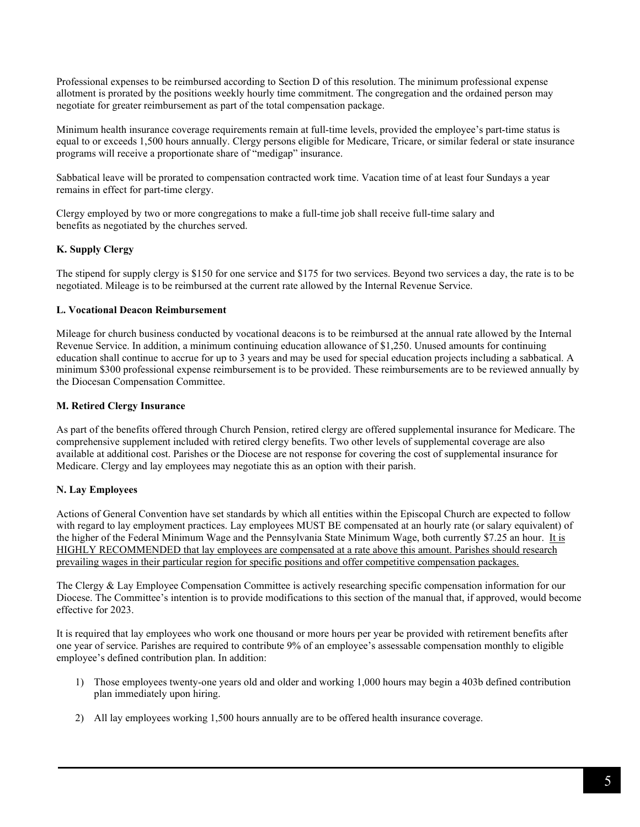Professional expenses to be reimbursed according to Section D of this resolution. The minimum professional expense allotment is prorated by the positions weekly hourly time commitment. The congregation and the ordained person may negotiate for greater reimbursement as part of the total compensation package.

Minimum health insurance coverage requirements remain at full-time levels, provided the employee's part-time status is equal to or exceeds 1,500 hours annually. Clergy persons eligible for Medicare, Tricare, or similar federal or state insurance programs will receive a proportionate share of "medigap" insurance.

Sabbatical leave will be prorated to compensation contracted work time. Vacation time of at least four Sundays a year remains in effect for part-time clergy.

Clergy employed by two or more congregations to make a full-time job shall receive full-time salary and benefits as negotiated by the churches served.

## **K. Supply Clergy**

The stipend for supply clergy is \$150 for one service and \$175 for two services. Beyond two services a day, the rate is to be negotiated. Mileage is to be reimbursed at the current rate allowed by the Internal Revenue Service.

## **L. Vocational Deacon Reimbursement**

Mileage for church business conducted by vocational deacons is to be reimbursed at the annual rate allowed by the Internal Revenue Service. In addition, a minimum continuing education allowance of \$1,250. Unused amounts for continuing education shall continue to accrue for up to 3 years and may be used for special education projects including a sabbatical. A minimum \$300 professional expense reimbursement is to be provided. These reimbursements are to be reviewed annually by the Diocesan Compensation Committee.

## **M. Retired Clergy Insurance**

As part of the benefits offered through Church Pension, retired clergy are offered supplemental insurance for Medicare. The comprehensive supplement included with retired clergy benefits. Two other levels of supplemental coverage are also available at additional cost. Parishes or the Diocese are not response for covering the cost of supplemental insurance for Medicare. Clergy and lay employees may negotiate this as an option with their parish.

## **N. Lay Employees**

Actions of General Convention have set standards by which all entities within the Episcopal Church are expected to follow with regard to lay employment practices. Lay employees MUST BE compensated at an hourly rate (or salary equivalent) of the higher of the Federal Minimum Wage and the Pennsylvania State Minimum Wage, both currently \$7.25 an hour. It is HIGHLY RECOMMENDED that lay employees are compensated at a rate above this amount. Parishes should research prevailing wages in their particular region for specific positions and offer competitive compensation packages.

The Clergy & Lay Employee Compensation Committee is actively researching specific compensation information for our Diocese. The Committee's intention is to provide modifications to this section of the manual that, if approved, would become effective for 2023.

It is required that lay employees who work one thousand or more hours per year be provided with retirement benefits after one year of service. Parishes are required to contribute 9% of an employee's assessable compensation monthly to eligible employee's defined contribution plan. In addition:

- 1) Those employees twenty-one years old and older and working 1,000 hours may begin a 403b defined contribution plan immediately upon hiring.
- 2) All lay employees working 1,500 hours annually are to be offered health insurance coverage.